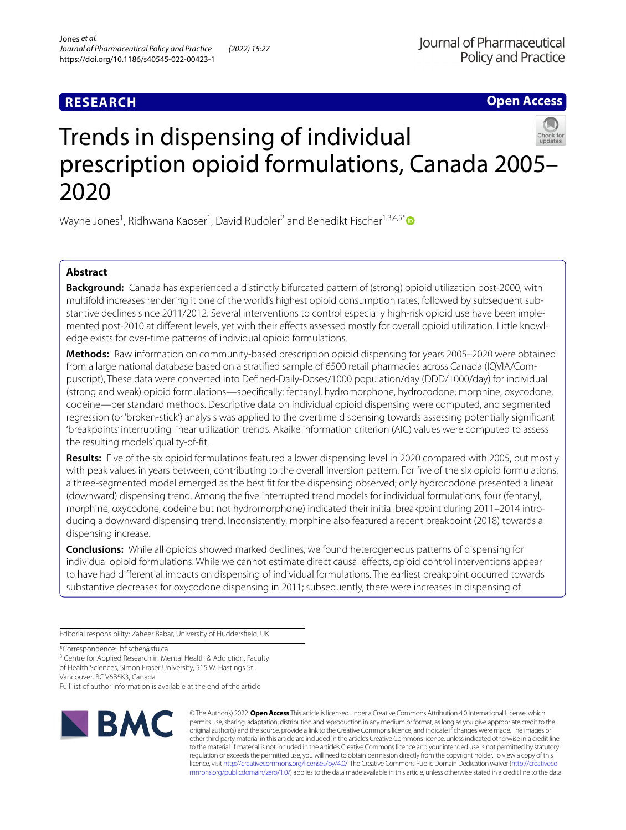## **RESEARCH**

**Open Access**

# Trends in dispensing of individual prescription opioid formulations, Canada 2005– 2020

Wayne Jones<sup>1</sup>, Ridhwana Kaoser<sup>1</sup>, David Rudoler<sup>2</sup> and Benedikt Fischer<sup>1,3,4,5[\\*](http://orcid.org/0000-0002-2186-4030)</sup>

## **Abstract**

**Background:** Canada has experienced a distinctly bifurcated pattern of (strong) opioid utilization post-2000, with multifold increases rendering it one of the world's highest opioid consumption rates, followed by subsequent substantive declines since 2011/2012. Several interventions to control especially high-risk opioid use have been implemented post-2010 at diferent levels, yet with their efects assessed mostly for overall opioid utilization. Little knowledge exists for over-time patterns of individual opioid formulations.

**Methods:** Raw information on community-based prescription opioid dispensing for years 2005–2020 were obtained from a large national database based on a stratifed sample of 6500 retail pharmacies across Canada (IQVIA/Compuscript), These data were converted into Defned-Daily-Doses/1000 population/day (DDD/1000/day) for individual (strong and weak) opioid formulations—specifcally: fentanyl, hydromorphone, hydrocodone, morphine, oxycodone, codeine—per standard methods. Descriptive data on individual opioid dispensing were computed, and segmented regression (or 'broken-stick') analysis was applied to the overtime dispensing towards assessing potentially signifcant 'breakpoints' interrupting linear utilization trends. Akaike information criterion (AIC) values were computed to assess the resulting models' quality-of-ft.

**Results:** Five of the six opioid formulations featured a lower dispensing level in 2020 compared with 2005, but mostly with peak values in years between, contributing to the overall inversion pattern. For fve of the six opioid formulations, a three-segmented model emerged as the best ft for the dispensing observed; only hydrocodone presented a linear (downward) dispensing trend. Among the fve interrupted trend models for individual formulations, four (fentanyl, morphine, oxycodone, codeine but not hydromorphone) indicated their initial breakpoint during 2011–2014 introducing a downward dispensing trend. Inconsistently, morphine also featured a recent breakpoint (2018) towards a dispensing increase.

**Conclusions:** While all opioids showed marked declines, we found heterogeneous patterns of dispensing for individual opioid formulations. While we cannot estimate direct causal efects, opioid control interventions appear to have had diferential impacts on dispensing of individual formulations. The earliest breakpoint occurred towards substantive decreases for oxycodone dispensing in 2011; subsequently, there were increases in dispensing of

Editorial responsibility: Zaheer Babar, University of Huddersfeld, UK

\*Correspondence: bfscher@sfu.ca

<sup>3</sup> Centre for Applied Research in Mental Health & Addiction, Faculty of Health Sciences, Simon Fraser University, 515 W. Hastings St., Vancouver, BC V6B5K3, Canada

Full list of author information is available at the end of the article



© The Author(s) 2022. **Open Access** This article is licensed under a Creative Commons Attribution 4.0 International License, which permits use, sharing, adaptation, distribution and reproduction in any medium or format, as long as you give appropriate credit to the original author(s) and the source, provide a link to the Creative Commons licence, and indicate if changes were made. The images or other third party material in this article are included in the article's Creative Commons licence, unless indicated otherwise in a credit line to the material. If material is not included in the article's Creative Commons licence and your intended use is not permitted by statutory regulation or exceeds the permitted use, you will need to obtain permission directly from the copyright holder. To view a copy of this licence, visit [http://creativecommons.org/licenses/by/4.0/.](http://creativecommons.org/licenses/by/4.0/) The Creative Commons Public Domain Dedication waiver ([http://creativeco](http://creativecommons.org/publicdomain/zero/1.0/) [mmons.org/publicdomain/zero/1.0/](http://creativecommons.org/publicdomain/zero/1.0/)) applies to the data made available in this article, unless otherwise stated in a credit line to the data.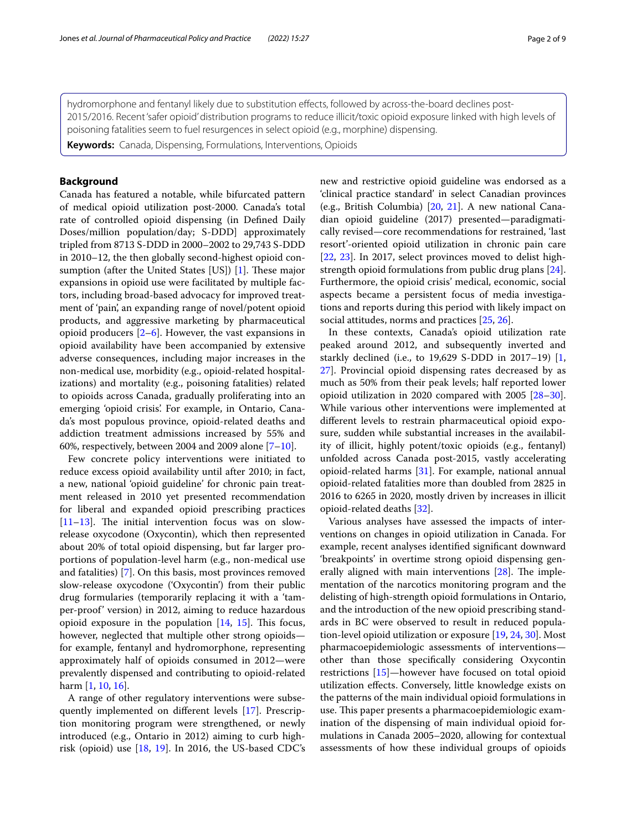hydromorphone and fentanyl likely due to substitution efects, followed by across-the-board declines post-2015/2016. Recent 'safer opioid' distribution programs to reduce illicit/toxic opioid exposure linked with high levels of poisoning fatalities seem to fuel resurgences in select opioid (e.g., morphine) dispensing.

**Keywords:** Canada, Dispensing, Formulations, Interventions, Opioids

## **Background**

Canada has featured a notable, while bifurcated pattern of medical opioid utilization post-2000. Canada's total rate of controlled opioid dispensing (in Defned Daily Doses/million population/day; S-DDD] approximately tripled from 8713 S-DDD in 2000–2002 to 29,743 S-DDD in 2010–12, the then globally second-highest opioid consumption (after the United States [US])  $[1]$  $[1]$ . These major expansions in opioid use were facilitated by multiple factors, including broad-based advocacy for improved treatment of 'pain', an expanding range of novel/potent opioid products, and aggressive marketing by pharmaceutical opioid producers  $[2-6]$  $[2-6]$ . However, the vast expansions in opioid availability have been accompanied by extensive adverse consequences, including major increases in the non-medical use, morbidity (e.g., opioid-related hospitalizations) and mortality (e.g., poisoning fatalities) related to opioids across Canada, gradually proliferating into an emerging 'opioid crisis'. For example, in Ontario, Canada's most populous province, opioid-related deaths and addiction treatment admissions increased by 55% and 60%, respectively, between 2004 and 2009 alone  $[7-10]$  $[7-10]$  $[7-10]$ .

Few concrete policy interventions were initiated to reduce excess opioid availability until after 2010; in fact, a new, national 'opioid guideline' for chronic pain treatment released in 2010 yet presented recommendation for liberal and expanded opioid prescribing practices  $[11–13]$  $[11–13]$  $[11–13]$  $[11–13]$ . The initial intervention focus was on slowrelease oxycodone (Oxycontin), which then represented about 20% of total opioid dispensing, but far larger proportions of population-level harm (e.g., non-medical use and fatalities) [[7\]](#page-7-1). On this basis, most provinces removed slow-release oxycodone ('Oxycontin') from their public drug formularies (temporarily replacing it with a 'tamper-proof' version) in 2012, aiming to reduce hazardous opioid exposure in the population  $[14, 15]$  $[14, 15]$  $[14, 15]$  $[14, 15]$ . This focus, however, neglected that multiple other strong opioids for example, fentanyl and hydromorphone, representing approximately half of opioids consumed in 2012—were prevalently dispensed and contributing to opioid-related harm [\[1](#page-6-0), [10](#page-7-2), [16\]](#page-7-7).

A range of other regulatory interventions were subsequently implemented on diferent levels [[17](#page-7-8)]. Prescription monitoring program were strengthened, or newly introduced (e.g., Ontario in 2012) aiming to curb highrisk (opioid) use  $[18, 19]$  $[18, 19]$  $[18, 19]$  $[18, 19]$  $[18, 19]$ . In 2016, the US-based CDC's new and restrictive opioid guideline was endorsed as a 'clinical practice standard' in select Canadian provinces (e.g., British Columbia) [[20](#page-7-11), [21](#page-7-12)]. A new national Canadian opioid guideline (2017) presented—paradigmatically revised—core recommendations for restrained, 'last resort'-oriented opioid utilization in chronic pain care [[22,](#page-7-13) [23](#page-7-14)]. In 2017, select provinces moved to delist highstrength opioid formulations from public drug plans [\[24](#page-7-15)]. Furthermore, the opioid crisis' medical, economic, social aspects became a persistent focus of media investigations and reports during this period with likely impact on social attitudes, norms and practices [[25,](#page-7-16) [26](#page-7-17)].

In these contexts, Canada's opioid utilization rate peaked around 2012, and subsequently inverted and starkly declined (i.e., to 19,629 S-DDD in 2017–19) [\[1](#page-6-0), [27\]](#page-7-18). Provincial opioid dispensing rates decreased by as much as 50% from their peak levels; half reported lower opioid utilization in 2020 compared with 2005 [[28](#page-7-19)[–30](#page-7-20)]. While various other interventions were implemented at diferent levels to restrain pharmaceutical opioid exposure, sudden while substantial increases in the availability of illicit, highly potent/toxic opioids (e.g., fentanyl) unfolded across Canada post-2015, vastly accelerating opioid-related harms [\[31](#page-7-21)]. For example, national annual opioid-related fatalities more than doubled from 2825 in 2016 to 6265 in 2020, mostly driven by increases in illicit opioid-related deaths [[32\]](#page-7-22).

Various analyses have assessed the impacts of interventions on changes in opioid utilization in Canada. For example, recent analyses identifed signifcant downward 'breakpoints' in overtime strong opioid dispensing generally aligned with main interventions  $[28]$  $[28]$ . The implementation of the narcotics monitoring program and the delisting of high-strength opioid formulations in Ontario, and the introduction of the new opioid prescribing standards in BC were observed to result in reduced population-level opioid utilization or exposure [\[19](#page-7-10), [24](#page-7-15), [30\]](#page-7-20). Most pharmacoepidemiologic assessments of interventions other than those specifcally considering Oxycontin restrictions [[15\]](#page-7-6)—however have focused on total opioid utilization efects. Conversely, little knowledge exists on the patterns of the main individual opioid formulations in use. This paper presents a pharmacoepidemiologic examination of the dispensing of main individual opioid formulations in Canada 2005–2020, allowing for contextual assessments of how these individual groups of opioids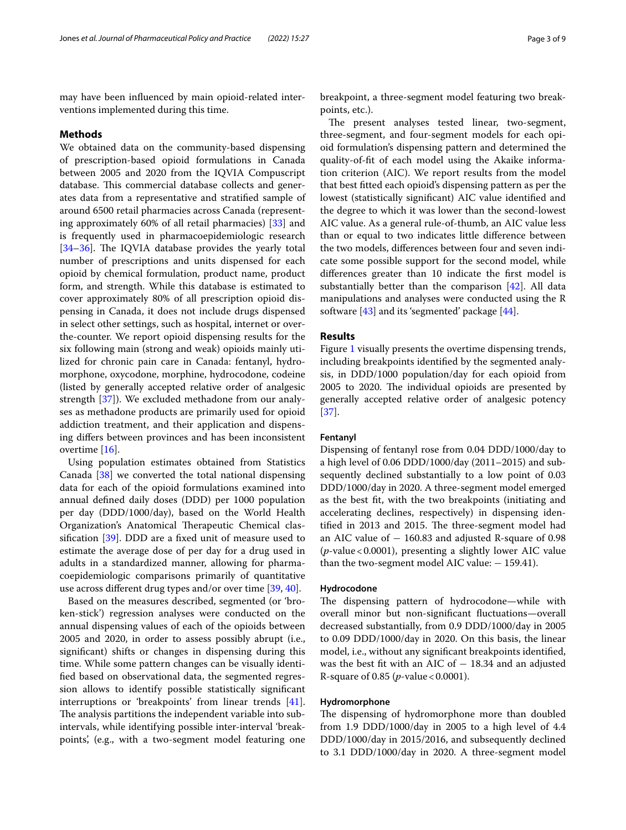may have been infuenced by main opioid-related interventions implemented during this time.

## **Methods**

We obtained data on the community-based dispensing of prescription-based opioid formulations in Canada between 2005 and 2020 from the IQVIA Compuscript database. This commercial database collects and generates data from a representative and stratifed sample of around 6500 retail pharmacies across Canada (representing approximately 60% of all retail pharmacies) [\[33\]](#page-7-23) and is frequently used in pharmacoepidemiologic research  $[34–36]$  $[34–36]$  $[34–36]$  $[34–36]$ . The IQVIA database provides the yearly total number of prescriptions and units dispensed for each opioid by chemical formulation, product name, product form, and strength. While this database is estimated to cover approximately 80% of all prescription opioid dispensing in Canada, it does not include drugs dispensed in select other settings, such as hospital, internet or overthe-counter. We report opioid dispensing results for the six following main (strong and weak) opioids mainly utilized for chronic pain care in Canada: fentanyl, hydromorphone, oxycodone, morphine, hydrocodone, codeine (listed by generally accepted relative order of analgesic strength [\[37](#page-7-26)]). We excluded methadone from our analyses as methadone products are primarily used for opioid addiction treatment, and their application and dispensing difers between provinces and has been inconsistent overtime [[16\]](#page-7-7).

Using population estimates obtained from Statistics Canada [[38](#page-7-27)] we converted the total national dispensing data for each of the opioid formulations examined into annual defned daily doses (DDD) per 1000 population per day (DDD/1000/day), based on the World Health Organization's Anatomical Therapeutic Chemical classifcation [\[39](#page-7-28)]. DDD are a fxed unit of measure used to estimate the average dose of per day for a drug used in adults in a standardized manner, allowing for pharmacoepidemiologic comparisons primarily of quantitative use across diferent drug types and/or over time [\[39,](#page-7-28) [40](#page-7-29)].

Based on the measures described, segmented (or 'broken-stick') regression analyses were conducted on the annual dispensing values of each of the opioids between 2005 and 2020, in order to assess possibly abrupt (i.e., signifcant) shifts or changes in dispensing during this time. While some pattern changes can be visually identifed based on observational data, the segmented regression allows to identify possible statistically signifcant interruptions or 'breakpoints' from linear trends [\[41](#page-7-30)]. The analysis partitions the independent variable into subintervals, while identifying possible inter-interval 'breakpoints', (e.g., with a two-segment model featuring one breakpoint, a three-segment model featuring two breakpoints, etc.).

The present analyses tested linear, two-segment, three-segment, and four-segment models for each opioid formulation's dispensing pattern and determined the quality-of-ft of each model using the Akaike information criterion (AIC). We report results from the model that best ftted each opioid's dispensing pattern as per the lowest (statistically signifcant) AIC value identifed and the degree to which it was lower than the second-lowest AIC value. As a general rule-of-thumb, an AIC value less than or equal to two indicates little diference between the two models, diferences between four and seven indicate some possible support for the second model, while diferences greater than 10 indicate the frst model is substantially better than the comparison [\[42\]](#page-7-31). All data manipulations and analyses were conducted using the R software [\[43](#page-7-32)] and its 'segmented' package [[44](#page-7-33)].

## **Results**

Figure [1](#page-3-0) visually presents the overtime dispensing trends, including breakpoints identifed by the segmented analysis, in DDD/1000 population/day for each opioid from 2005 to 2020. The individual opioids are presented by generally accepted relative order of analgesic potency [[37\]](#page-7-26).

## **Fentanyl**

Dispensing of fentanyl rose from 0.04 DDD/1000/day to a high level of 0.06 DDD/1000/day (2011–2015) and subsequently declined substantially to a low point of 0.03 DDD/1000/day in 2020. A three-segment model emerged as the best ft, with the two breakpoints (initiating and accelerating declines, respectively) in dispensing identified in 2013 and 2015. The three-segment model had an AIC value of − 160.83 and adjusted R-square of 0.98 (*p*-value<0.0001), presenting a slightly lower AIC value than the two-segment model AIC value:  $-159.41$ ).

## **Hydrocodone**

The dispensing pattern of hydrocodone-while with overall minor but non-signifcant fuctuations—overall decreased substantially, from 0.9 DDD/1000/day in 2005 to 0.09 DDD/1000/day in 2020. On this basis, the linear model, i.e., without any signifcant breakpoints identifed, was the best fit with an AIC of  $-$  18.34 and an adjusted R-square of 0.85 (*p*-value<0.0001).

## **Hydromorphone**

The dispensing of hydromorphone more than doubled from 1.9 DDD/1000/day in 2005 to a high level of 4.4 DDD/1000/day in 2015/2016, and subsequently declined to 3.1 DDD/1000/day in 2020. A three-segment model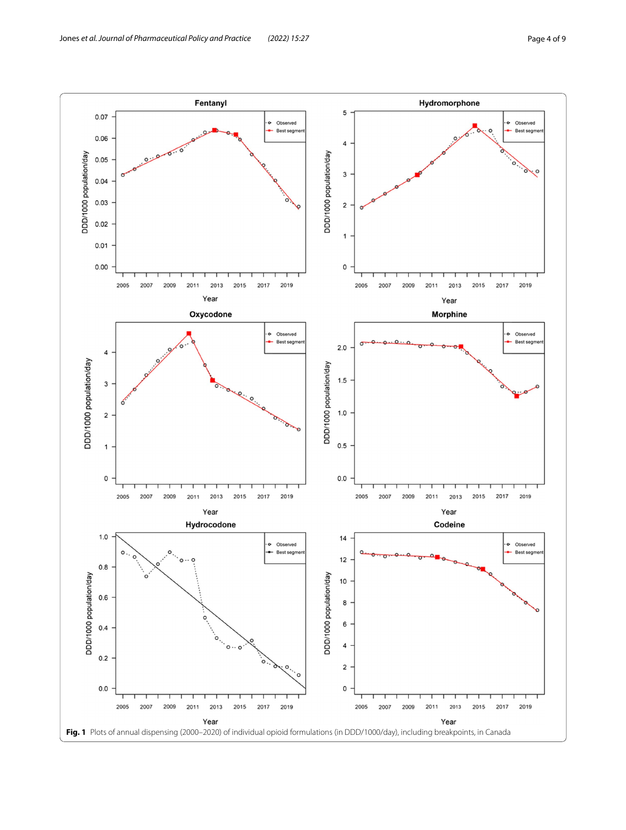<span id="page-3-0"></span>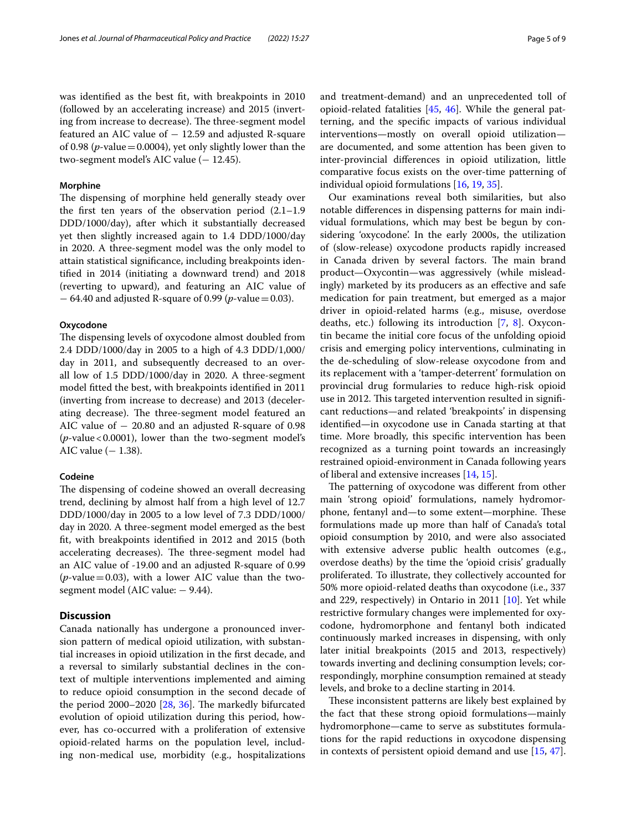was identifed as the best ft, with breakpoints in 2010 (followed by an accelerating increase) and 2015 (inverting from increase to decrease). The three-segment model featured an AIC value of  $-12.59$  and adjusted R-square of 0.98 (*p*-value=0.0004), yet only slightly lower than the two-segment model's AIC value  $(-12.45)$ .

## **Morphine**

The dispensing of morphine held generally steady over the frst ten years of the observation period (2.1–1.9 DDD/1000/day), after which it substantially decreased yet then slightly increased again to 1.4 DDD/1000/day in 2020. A three-segment model was the only model to attain statistical signifcance, including breakpoints identifed in 2014 (initiating a downward trend) and 2018 (reverting to upward), and featuring an AIC value of − 64.40 and adjusted R-square of 0.99 (*p*-value=0.03).

## **Oxycodone**

The dispensing levels of oxycodone almost doubled from 2.4 DDD/1000/day in 2005 to a high of 4.3 DDD/1,000/ day in 2011, and subsequently decreased to an overall low of 1.5 DDD/1000/day in 2020. A three-segment model ftted the best, with breakpoints identifed in 2011 (inverting from increase to decrease) and 2013 (decelerating decrease). The three-segment model featured an AIC value of  $-20.80$  and an adjusted R-square of 0.98  $(p$ -value < 0.0001), lower than the two-segment model's AIC value  $(-1.38)$ .

## **Codeine**

The dispensing of codeine showed an overall decreasing trend, declining by almost half from a high level of 12.7 DDD/1000/day in 2005 to a low level of 7.3 DDD/1000/ day in 2020. A three-segment model emerged as the best ft, with breakpoints identifed in 2012 and 2015 (both accelerating decreases). The three-segment model had an AIC value of -19.00 and an adjusted R-square of 0.99 (*p*-value=0.03), with a lower AIC value than the twosegment model (AIC value: − 9.44).

## **Discussion**

Canada nationally has undergone a pronounced inversion pattern of medical opioid utilization, with substantial increases in opioid utilization in the frst decade, and a reversal to similarly substantial declines in the context of multiple interventions implemented and aiming to reduce opioid consumption in the second decade of the period  $2000-2020$   $[28, 36]$  $[28, 36]$  $[28, 36]$  $[28, 36]$  $[28, 36]$ . The markedly bifurcated evolution of opioid utilization during this period, however, has co-occurred with a proliferation of extensive opioid-related harms on the population level, including non-medical use, morbidity (e.g., hospitalizations and treatment-demand) and an unprecedented toll of opioid-related fatalities [[45,](#page-7-34) [46\]](#page-7-35). While the general patterning, and the specifc impacts of various individual interventions—mostly on overall opioid utilization are documented, and some attention has been given to inter-provincial diferences in opioid utilization, little comparative focus exists on the over-time patterning of individual opioid formulations [\[16](#page-7-7), [19,](#page-7-10) [35](#page-7-36)].

Our examinations reveal both similarities, but also notable diferences in dispensing patterns for main individual formulations, which may best be begun by considering 'oxycodone'. In the early 2000s, the utilization of (slow-release) oxycodone products rapidly increased in Canada driven by several factors. The main brand product—Oxycontin—was aggressively (while misleadingly) marketed by its producers as an efective and safe medication for pain treatment, but emerged as a major driver in opioid-related harms (e.g., misuse, overdose deaths, etc.) following its introduction [[7,](#page-7-1) [8](#page-7-37)]. Oxycontin became the initial core focus of the unfolding opioid crisis and emerging policy interventions, culminating in the de-scheduling of slow-release oxycodone from and its replacement with a 'tamper-deterrent' formulation on provincial drug formularies to reduce high-risk opioid use in 2012. This targeted intervention resulted in significant reductions—and related 'breakpoints' in dispensing identifed—in oxycodone use in Canada starting at that time. More broadly, this specifc intervention has been recognized as a turning point towards an increasingly restrained opioid-environment in Canada following years of liberal and extensive increases [[14](#page-7-5), [15\]](#page-7-6).

The patterning of oxycodone was different from other main 'strong opioid' formulations, namely hydromorphone, fentanyl and—to some extent—morphine. These formulations made up more than half of Canada's total opioid consumption by 2010, and were also associated with extensive adverse public health outcomes (e.g., overdose deaths) by the time the 'opioid crisis' gradually proliferated. To illustrate, they collectively accounted for 50% more opioid-related deaths than oxycodone (i.e., 337 and 229, respectively) in Ontario in 2011 [\[10\]](#page-7-2). Yet while restrictive formulary changes were implemented for oxycodone, hydromorphone and fentanyl both indicated continuously marked increases in dispensing, with only later initial breakpoints (2015 and 2013, respectively) towards inverting and declining consumption levels; correspondingly, morphine consumption remained at steady levels, and broke to a decline starting in 2014.

These inconsistent patterns are likely best explained by the fact that these strong opioid formulations—mainly hydromorphone—came to serve as substitutes formulations for the rapid reductions in oxycodone dispensing in contexts of persistent opioid demand and use [[15](#page-7-6), [47](#page-7-38)].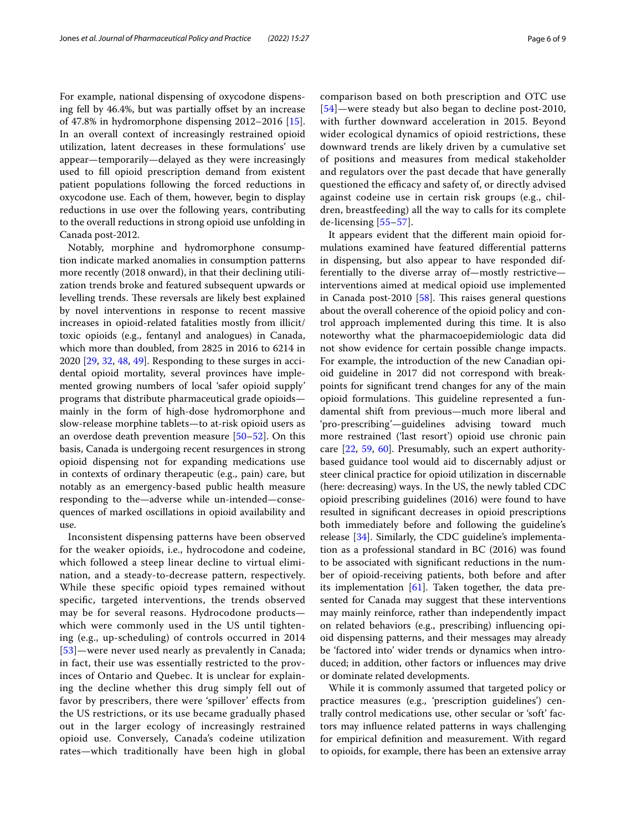For example, national dispensing of oxycodone dispensing fell by 46.4%, but was partially offset by an increase of 47.8% in hydromorphone dispensing 2012–2016 [\[15](#page-7-6)]. In an overall context of increasingly restrained opioid utilization, latent decreases in these formulations' use appear—temporarily—delayed as they were increasingly used to fll opioid prescription demand from existent patient populations following the forced reductions in oxycodone use. Each of them, however, begin to display reductions in use over the following years, contributing to the overall reductions in strong opioid use unfolding in Canada post-2012.

Notably, morphine and hydromorphone consumption indicate marked anomalies in consumption patterns more recently (2018 onward), in that their declining utilization trends broke and featured subsequent upwards or levelling trends. These reversals are likely best explained by novel interventions in response to recent massive increases in opioid-related fatalities mostly from illicit/ toxic opioids (e.g., fentanyl and analogues) in Canada, which more than doubled, from 2825 in 2016 to 6214 in 2020 [\[29](#page-7-39), [32](#page-7-22), [48,](#page-7-40) [49\]](#page-7-41). Responding to these surges in accidental opioid mortality, several provinces have implemented growing numbers of local 'safer opioid supply' programs that distribute pharmaceutical grade opioids mainly in the form of high-dose hydromorphone and slow-release morphine tablets—to at-risk opioid users as an overdose death prevention measure [[50](#page-8-0)[–52](#page-8-1)]. On this basis, Canada is undergoing recent resurgences in strong opioid dispensing not for expanding medications use in contexts of ordinary therapeutic (e.g., pain) care, but notably as an emergency-based public health measure responding to the—adverse while un-intended—consequences of marked oscillations in opioid availability and use.

Inconsistent dispensing patterns have been observed for the weaker opioids, i.e., hydrocodone and codeine, which followed a steep linear decline to virtual elimination, and a steady-to-decrease pattern, respectively. While these specifc opioid types remained without specifc, targeted interventions, the trends observed may be for several reasons. Hydrocodone products which were commonly used in the US until tightening (e.g., up-scheduling) of controls occurred in 2014 [[53](#page-8-2)]—were never used nearly as prevalently in Canada; in fact, their use was essentially restricted to the provinces of Ontario and Quebec. It is unclear for explaining the decline whether this drug simply fell out of favor by prescribers, there were 'spillover' efects from the US restrictions, or its use became gradually phased out in the larger ecology of increasingly restrained opioid use. Conversely, Canada's codeine utilization rates—which traditionally have been high in global comparison based on both prescription and OTC use [[54](#page-8-3)]—were steady but also began to decline post-2010, with further downward acceleration in 2015. Beyond wider ecological dynamics of opioid restrictions, these downward trends are likely driven by a cumulative set of positions and measures from medical stakeholder and regulators over the past decade that have generally questioned the efficacy and safety of, or directly advised against codeine use in certain risk groups (e.g., children, breastfeeding) all the way to calls for its complete de-licensing [[55–](#page-8-4)[57\]](#page-8-5).

It appears evident that the diferent main opioid formulations examined have featured diferential patterns in dispensing, but also appear to have responded differentially to the diverse array of—mostly restrictive interventions aimed at medical opioid use implemented in Canada post-2010  $[58]$  $[58]$ . This raises general questions about the overall coherence of the opioid policy and control approach implemented during this time. It is also noteworthy what the pharmacoepidemiologic data did not show evidence for certain possible change impacts. For example, the introduction of the new Canadian opioid guideline in 2017 did not correspond with breakpoints for signifcant trend changes for any of the main opioid formulations. This guideline represented a fundamental shift from previous—much more liberal and 'pro-prescribing'—guidelines advising toward much more restrained ('last resort') opioid use chronic pain care [[22](#page-7-13), [59](#page-8-7), [60\]](#page-8-8). Presumably, such an expert authoritybased guidance tool would aid to discernably adjust or steer clinical practice for opioid utilization in discernable (here: decreasing) ways. In the US, the newly tabled CDC opioid prescribing guidelines (2016) were found to have resulted in signifcant decreases in opioid prescriptions both immediately before and following the guideline's release [\[34](#page-7-24)]. Similarly, the CDC guideline's implementation as a professional standard in BC (2016) was found to be associated with signifcant reductions in the number of opioid-receiving patients, both before and after its implementation  $[61]$ . Taken together, the data presented for Canada may suggest that these interventions may mainly reinforce, rather than independently impact on related behaviors (e.g., prescribing) infuencing opioid dispensing patterns, and their messages may already be 'factored into' wider trends or dynamics when introduced; in addition, other factors or infuences may drive or dominate related developments.

While it is commonly assumed that targeted policy or practice measures (e.g., 'prescription guidelines') centrally control medications use, other secular or 'soft' factors may infuence related patterns in ways challenging for empirical defnition and measurement. With regard to opioids, for example, there has been an extensive array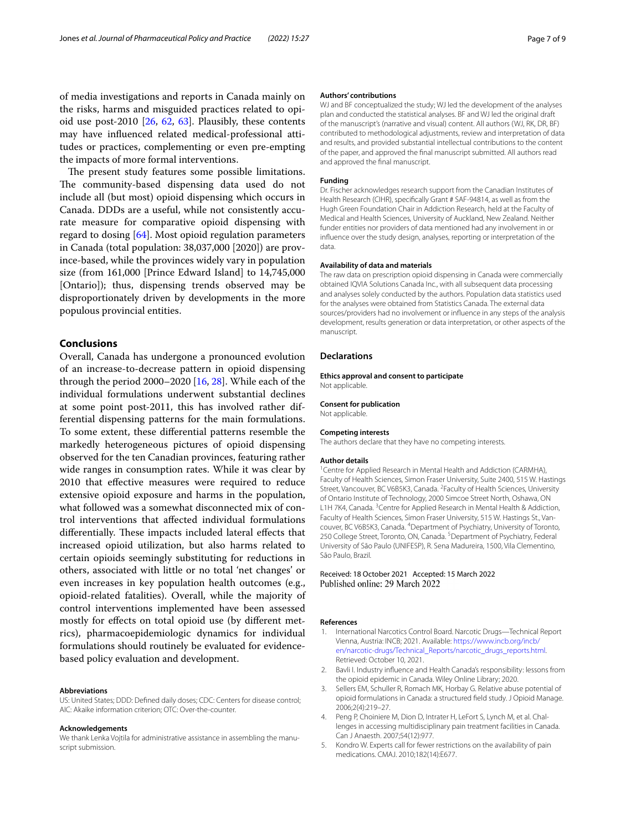of media investigations and reports in Canada mainly on the risks, harms and misguided practices related to opioid use post-2010  $[26, 62, 63]$  $[26, 62, 63]$  $[26, 62, 63]$  $[26, 62, 63]$  $[26, 62, 63]$  $[26, 62, 63]$ . Plausibly, these contents may have infuenced related medical-professional attitudes or practices, complementing or even pre-empting the impacts of more formal interventions.

The present study features some possible limitations. The community-based dispensing data used do not include all (but most) opioid dispensing which occurs in Canada. DDDs are a useful, while not consistently accurate measure for comparative opioid dispensing with regard to dosing [[64](#page-8-12)]. Most opioid regulation parameters in Canada (total population: 38,037,000 [2020]) are province-based, while the provinces widely vary in population size (from 161,000 [Prince Edward Island] to 14,745,000 [Ontario]); thus, dispensing trends observed may be disproportionately driven by developments in the more populous provincial entities.

## **Conclusions**

Overall, Canada has undergone a pronounced evolution of an increase-to-decrease pattern in opioid dispensing through the period  $2000-2020$  [\[16,](#page-7-7) [28](#page-7-19)]. While each of the individual formulations underwent substantial declines at some point post-2011, this has involved rather differential dispensing patterns for the main formulations. To some extent, these diferential patterns resemble the markedly heterogeneous pictures of opioid dispensing observed for the ten Canadian provinces, featuring rather wide ranges in consumption rates. While it was clear by 2010 that efective measures were required to reduce extensive opioid exposure and harms in the population, what followed was a somewhat disconnected mix of control interventions that afected individual formulations differentially. These impacts included lateral effects that increased opioid utilization, but also harms related to certain opioids seemingly substituting for reductions in others, associated with little or no total 'net changes' or even increases in key population health outcomes (e.g., opioid-related fatalities). Overall, while the majority of control interventions implemented have been assessed mostly for efects on total opioid use (by diferent metrics), pharmacoepidemiologic dynamics for individual formulations should routinely be evaluated for evidencebased policy evaluation and development.

#### **Abbreviations**

US: United States; DDD: Defned daily doses; CDC: Centers for disease control; AIC: Akaike information criterion; OTC: Over-the-counter.

#### **Acknowledgements**

We thank Lenka Vojtila for administrative assistance in assembling the manuscript submission.

#### **Authors' contributions**

WJ and BF conceptualized the study; WJ led the development of the analyses plan and conducted the statistical analyses. BF and WJ led the original draft of the manuscript's (narrative and visual) content. All authors (WJ, RK, DR, BF) contributed to methodological adjustments, review and interpretation of data and results, and provided substantial intellectual contributions to the content of the paper, and approved the fnal manuscript submitted. All authors read and approved the fnal manuscript.

## **Funding**

Dr. Fischer acknowledges research support from the Canadian Institutes of Health Research (CIHR), specifcally Grant # SAF-94814, as well as from the Hugh Green Foundation Chair in Addiction Research, held at the Faculty of Medical and Health Sciences, University of Auckland, New Zealand. Neither funder entities nor providers of data mentioned had any involvement in or infuence over the study design, analyses, reporting or interpretation of the data.

#### **Availability of data and materials**

The raw data on prescription opioid dispensing in Canada were commercially obtained IQVIA Solutions Canada Inc., with all subsequent data processing and analyses solely conducted by the authors. Population data statistics used for the analyses were obtained from Statistics Canada. The external data sources/providers had no involvement or infuence in any steps of the analysis development, results generation or data interpretation, or other aspects of the manuscript.

## **Declarations**

**Ethics approval and consent to participate** Not applicable.

#### **Consent for publication**

Not applicable.

#### **Competing interests**

The authors declare that they have no competing interests.

#### **Author details**

<sup>1</sup> Centre for Applied Research in Mental Health and Addiction (CARMHA), Faculty of Health Sciences, Simon Fraser University, Suite 2400, 515 W. Hastings Street, Vancouver, BC V6B5K3, Canada. <sup>2</sup> Faculty of Health Sciences, University of Ontario Institute of Technology, 2000 Simcoe Street North, Oshawa, ON L1H 7K4, Canada. <sup>3</sup> Centre for Applied Research in Mental Health & Addiction, Faculty of Health Sciences, Simon Fraser University, 515 W. Hastings St., Vancouver, BC V6B5K3, Canada. 4 Department of Psychiatry, University of Toronto, 250 College Street, Toronto, ON, Canada. <sup>5</sup> Department of Psychiatry, Federal University of São Paulo (UNIFESP), R. Sena Madureira, 1500, Vila Clementino, São Paulo, Brazil.

# Received: 18 October 2021 Accepted: 15 March 2022

## **References**

- <span id="page-6-0"></span>1. International Narcotics Control Board. Narcotic Drugs—Technical Report Vienna, Austria: INCB; 2021. Available: [https://www.incb.org/incb/](https://www.incb.org/incb/en/narcotic-drugs/Technical_Reports/narcotic_drugs_reports.html) [en/narcotic-drugs/Technical\\_Reports/narcotic\\_drugs\\_reports.html](https://www.incb.org/incb/en/narcotic-drugs/Technical_Reports/narcotic_drugs_reports.html). Retrieved: October 10, 2021.
- <span id="page-6-1"></span>2. Bavli I. Industry infuence and Health Canada's responsibility: lessons from the opioid epidemic in Canada. Wiley Online Library; 2020.
- 3. Sellers EM, Schuller R, Romach MK, Horbay G. Relative abuse potential of opioid formulations in Canada: a structured feld study. J Opioid Manage. 2006;2(4):219–27.
- 4. Peng P, Choiniere M, Dion D, Intrater H, LeFort S, Lynch M, et al. Challenges in accessing multidisciplinary pain treatment facilities in Canada. Can J Anaesth. 2007;54(12):977.
- 5. Kondro W. Experts call for fewer restrictions on the availability of pain medications. CMAJ. 2010;182(14):E677.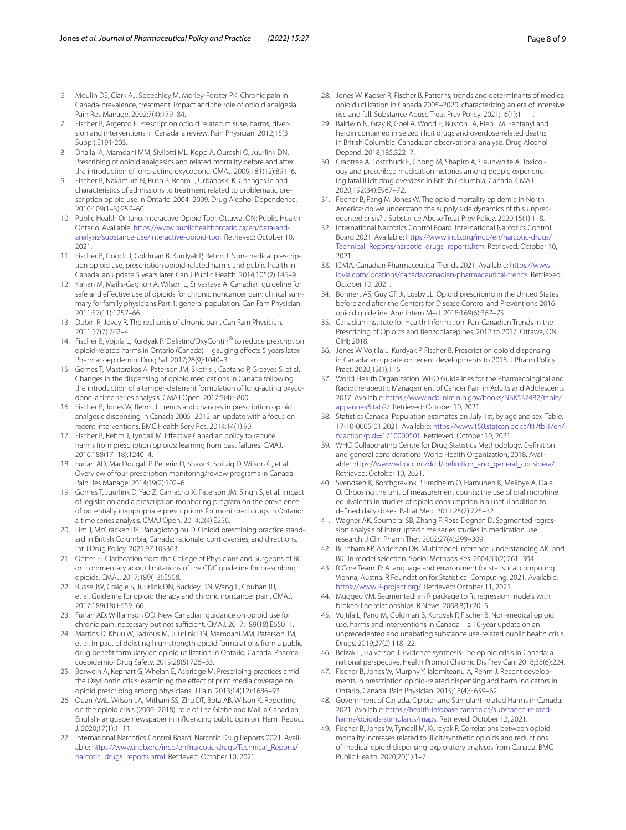- <span id="page-7-0"></span>6. Moulin DE, Clark AJ, Speechley M, Morley-Forster PK. Chronic pain in Canada-prevalence, treatment, impact and the role of opioid analgesia. Pain Res Manage. 2002;7(4):179–84.
- <span id="page-7-1"></span>7. Fischer B, Argento E. Prescription opioid related misuse, harms, diversion and interventions in Canada: a review. Pain Physician. 2012;15(3 Suppl):E191-203.
- <span id="page-7-37"></span>8. Dhalla IA, Mamdani MM, Sivilotti ML, Kopp A, Qureshi O, Juurlink DN. Prescribing of opioid analgesics and related mortality before and after the introduction of long-acting oxycodone. CMAJ. 2009;181(12):891–6.
- 9. Fischer B, Nakamura N, Rush B, Rehm J, Urbanoski K. Changes in and characteristics of admissions to treatment related to problematic prescription opioid use in Ontario, 2004–2009. Drug Alcohol Dependence. 2010;109(1–3):257–60.
- <span id="page-7-2"></span>10. Public Health Ontario. Interactive Opioid Tool; Ottawa, ON: Public Health Ontario. Available: [https://www.publichealthontario.ca/en/data-and](https://www.publichealthontario.ca/en/data-and-analysis/substance-use/interactive-opioid-tool)[analysis/substance-use/interactive-opioid-tool](https://www.publichealthontario.ca/en/data-and-analysis/substance-use/interactive-opioid-tool). Retrieved: October 10, 2021.
- <span id="page-7-3"></span>11. Fischer B, Gooch J, Goldman B, Kurdyak P, Rehm J. Non-medical prescription opioid use, prescription opioid-related harms and public health in Canada: an update 5 years later. Can J Public Health. 2014;105(2):146–9.
- 12. Kahan M, Mailis-Gagnon A, Wilson L, Srivastava A. Canadian guideline for safe and efective use of opioids for chronic noncancer pain: clinical summary for family physicians Part 1: general population. Can Fam Physician. 2011;57(11):1257–66.
- <span id="page-7-4"></span>13. Dubin R, Jovey R. The real crisis of chronic pain. Can Fam Physician. 2011;57(7):762–4.
- <span id="page-7-5"></span>14. Fischer B, Vojtila L, Kurdyak P. 'Delisting'OxyContin® to reduce prescription opioid-related harms in Ontario (Canada)—gauging efects 5 years later. Pharmacoepidemiol Drug Saf. 2017;26(9):1040–3.
- <span id="page-7-6"></span>15. Gomes T, Mastorakos A, Paterson JM, Sketris I, Caetano P, Greaves S, et al. Changes in the dispensing of opioid medications in Canada following the introduction of a tamper-deterrent formulation of long-acting oxycodone: a time series analysis. CMAJ Open. 2017;5(4):E800.
- <span id="page-7-7"></span>16. Fischer B, Jones W, Rehm J. Trends and changes in prescription opioid analgesic dispensing in Canada 2005–2012: an update with a focus on recent interventions. BMC Health Serv Res. 2014;14(1):90.
- <span id="page-7-8"></span>17. Fischer B, Rehm J, Tyndall M. Efective Canadian policy to reduce harms from prescription opioids: learning from past failures. CMAJ. 2016;188(17–18):1240–4.
- <span id="page-7-9"></span>18. Furlan AD, MacDougall P, Pellerin D, Shaw K, Spitzig D, Wilson G, et al. Overview of four prescription monitoring/review programs in Canada. Pain Res Manage. 2014;19(2):102–6.
- <span id="page-7-10"></span>19. Gomes T, Juurlink D, Yao Z, Camacho X, Paterson JM, Singh S, et al. Impact of legislation and a prescription monitoring program on the prevalence of potentially inappropriate prescriptions for monitored drugs in Ontario: a time series analysis. CMAJ Open. 2014;2(4):E256.
- <span id="page-7-11"></span>20. Lim J, McCracken RK, Panagiotoglou D. Opioid prescribing practice standard in British Columbia, Canada: rationale, controversies, and directions. Int J Drug Policy. 2021;97:103363.
- <span id="page-7-12"></span>21. Oetter H. Clarifcation from the College of Physicians and Surgeons of BC on commentary about limitations of the CDC guideline for prescribing opioids. CMAJ. 2017;189(13):E508.
- <span id="page-7-13"></span>22. Busse JW, Craigie S, Juurlink DN, Buckley DN, Wang L, Couban RJ, et al. Guideline for opioid therapy and chronic noncancer pain. CMAJ. 2017;189(18):E659–66.
- <span id="page-7-14"></span>23. Furlan AD, Williamson OD. New Canadian guidance on opioid use for chronic pain: necessary but not sufficient. CMAJ. 2017;189(18):E650-1.
- <span id="page-7-15"></span>24. Martins D, Khuu W, Tadrous M, Juurlink DN, Mamdani MM, Paterson JM, et al. Impact of delisting high-strength opioid formulations from a public drug beneft formulary on opioid utilization in Ontario, Canada. Pharmacoepidemiol Drug Safety. 2019;28(5):726–33.
- <span id="page-7-16"></span>25. Borwein A, Kephart G, Whelan E, Asbridge M. Prescribing practices amid the OxyContin crisis: examining the effect of print media coverage on opioid prescribing among physicians. J Pain. 2013;14(12):1686–93.
- <span id="page-7-17"></span>26. Quan AML, Wilson LA, Mithani SS, Zhu DT, Bota AB, Wilson K. Reporting on the opioid crisis (2000–2018): role of The Globe and Mail, a Canadian English-language newspaper in infuencing public opinion. Harm Reduct J. 2020;17(1):1–11.
- <span id="page-7-18"></span>27. International Narcotics Control Board. Narcotic Drug Reports 2021. Available: [https://www.incb.org/incb/en/narcotic-drugs/Technical\\_Reports/](https://www.incb.org/incb/en/narcotic-drugs/Technical_Reports/narcotic_drugs_reports.html) [narcotic\\_drugs\\_reports.html](https://www.incb.org/incb/en/narcotic-drugs/Technical_Reports/narcotic_drugs_reports.html). Retrieved: October 10, 2021.
- <span id="page-7-19"></span>28. Jones W, Kaoser R, Fischer B. Patterns, trends and determinants of medical opioid utilization in Canada 2005–2020: characterizing an era of intensive rise and fall. Substance Abuse Treat Prev Policy. 2021;16(1):1–11.
- <span id="page-7-39"></span>29. Baldwin N, Gray R, Goel A, Wood E, Buxton JA, Rieb LM. Fentanyl and heroin contained in seized illicit drugs and overdose-related deaths in British Columbia, Canada: an observational analysis. Drug Alcohol Depend. 2018;185:322–7.
- <span id="page-7-20"></span>30. Crabtree A, Lostchuck E, Chong M, Shapiro A, Slaunwhite A. Toxicology and prescribed medication histories among people experiencing fatal illicit drug overdose in British Columbia, Canada. CMAJ. 2020;192(34):E967–72.
- <span id="page-7-21"></span>31. Fischer B, Pang M, Jones W. The opioid mortality epidemic in North America: do we understand the supply side dynamics of this unprecedented crisis? J Substance Abuse Treat Prev Policy. 2020;15(1):1–8.
- <span id="page-7-22"></span>32. International Narcotics Control Board. International Narcotics Control Board 2021. Available: [https://www.incb.org/incb/en/narcotic-drugs/](https://www.incb.org/incb/en/narcotic-drugs/Technical_Reports/narcotic_drugs_reports.htm) [Technical\\_Reports/narcotic\\_drugs\\_reports.htm](https://www.incb.org/incb/en/narcotic-drugs/Technical_Reports/narcotic_drugs_reports.htm). Retrieved: October 10, 2021.
- <span id="page-7-23"></span>33. IQVIA. Canadian Pharmaceutical Trends 2021. Available: [https://www.](https://www.iqvia.com/locations/canada/canadian-pharmaceutical-trends) [iqvia.com/locations/canada/canadian-pharmaceutical-trends](https://www.iqvia.com/locations/canada/canadian-pharmaceutical-trends). Retrieved: October 10, 2021.
- <span id="page-7-24"></span>34. Bohnert AS, Guy GP Jr, Losby JL. Opioid prescribing in the United States before and after the Centers for Disease Control and Prevention's 2016 opioid guideline. Ann Intern Med. 2018;169(6):367–75.
- <span id="page-7-36"></span>35. Canadian Institute for Health Information. Pan-Canadian Trends in the Prescribing of Opioids and Benzodiazepines, 2012 to 2017. Ottawa, ON: CIHI; 2018.
- <span id="page-7-25"></span>36. Jones W, Vojtila L, Kurdyak P, Fischer B. Prescription opioid dispensing in Canada: an update on recent developments to 2018. J Pharm Policy Pract. 2020;13(1):1–6.
- <span id="page-7-26"></span>37. World Health Organization. WHO Guidelines for the Pharmacological and Radiotherapeutic Management of Cancer Pain in Adults and Adolescents 2017. Available: [https://www.ncbi.nlm.nih.gov/books/NBK537482/table/](https://www.ncbi.nlm.nih.gov/books/NBK537482/table/appannex6.tab2/) [appannex6.tab2/.](https://www.ncbi.nlm.nih.gov/books/NBK537482/table/appannex6.tab2/) Retrieved: October 10, 2021.
- <span id="page-7-27"></span>38. Statistics Canada. Population estimates on July 1st, by age and sex: Table: 17-10-0005-01 2021. Available: [https://www150.statcan.gc.ca/t1/tbl1/en/](https://www150.statcan.gc.ca/t1/tbl1/en/tv.action?pid=1710000501) tv.action?pid=1710000501. Retrieved: October 10, 2021.
- <span id="page-7-28"></span>39. [WHO Collaborating Centre](https://www150.statcan.gc.ca/t1/tbl1/en/tv.action?pid=1710000501) for Drug Statistics Methodology. Defnition and general considerations: World Health Organization; 2018. Available: [https://www.whocc.no/ddd/defnition\\_and\\_general\\_considera/.](https://www.whocc.no/ddd/definition_and_general_considera/) Retrieved: October 10, 2021.
- <span id="page-7-29"></span>40. Svendsen K, Borchgrevink P, Fredheim O, Hamunen K, Mellbye A, Dale O. Choosing the unit of measurement counts: the use of oral morphine equivalents in studies of opioid consumption is a useful addition to defned daily doses. Palliat Med. 2011;25(7):725–32.
- <span id="page-7-30"></span>41. Wagner AK, Soumerai SB, Zhang F, Ross-Degnan D. Segmented regression analysis of interrupted time series studies in medication use research. J Clin Pharm Ther. 2002;27(4):299–309.
- <span id="page-7-31"></span>42. Burnham KP, Anderson DR. Multimodel inference: understanding AIC and BIC in model selection. Sociol Methods Res. 2004;33(2):261–304.
- <span id="page-7-32"></span>43. R Core Team. R: A language and environment for statistical computing Vienna, Austria: R Foundation for Statistical Computing; 2021. Available: [https://www.R-project.org/.](https://www.R-project.org/) Retrieved: October 11, 2021.
- <span id="page-7-33"></span>44. Muggeo VM. Segmented: an R package to ft regression models with broken-line relationships. R News. 2008;8(1):20–5.
- <span id="page-7-34"></span>45. Vojtila L, Pang M, Goldman B, Kurdyak P, Fischer B. Non-medical opioid use, harms and interventions in Canada—a 10-year update on an unprecedented and unabating substance use-related public health crisis. Drugs. 2019;27(2):118–22.
- <span id="page-7-35"></span>46. Belzak L, Halverson J. Evidence synthesis-The opioid crisis in Canada: a national perspective. Health Promot Chronic Dis Prev Can. 2018;38(6):224.
- <span id="page-7-38"></span>47. Fischer B, Jones W, Murphy Y, Ialomiteanu A, Rehm J. Recent developments in prescription opioid-related dispensing and harm indicators in Ontario, Canada. Pain Physician. 2015;18(4):E659–62.
- <span id="page-7-40"></span>48. Government of Canada. Opioid- and Stimulant-related Harms in Canada. 2021. Available: [https://health-infobase.canada.ca/substance-related](https://health-infobase.canada.ca/substance-related-harms/opioids-stimulants/maps)[harms/opioids-stimulants/maps](https://health-infobase.canada.ca/substance-related-harms/opioids-stimulants/maps). Retrieved: October 12, 2021.
- <span id="page-7-41"></span>49. Fischer B, Jones W, Tyndall M, Kurdyak P. Correlations between opioid mortality increases related to illicit/synthetic opioids and reductions of medical opioid dispensing-exploratory analyses from Canada. BMC Public Health. 2020;20(1):1–7.